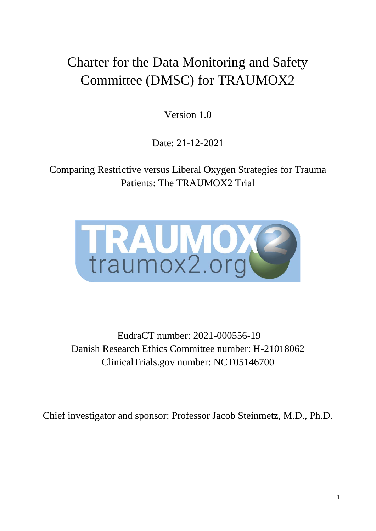# Charter for the Data Monitoring and Safety Committee (DMSC) for TRAUMOX2

Version 1.0

Date: 21-12-2021

Comparing Restrictive versus Liberal Oxygen Strategies for Trauma Patients: The TRAUMOX2 Trial



EudraCT number: 2021-000556-19 Danish Research Ethics Committee number: H-21018062 ClinicalTrials.gov number: NCT05146700

Chief investigator and sponsor: Professor Jacob Steinmetz, M.D., Ph.D.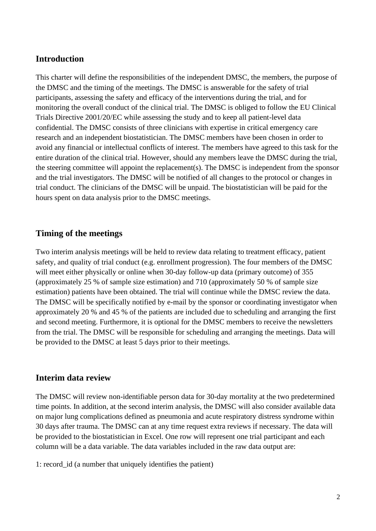#### **Introduction**

This charter will define the responsibilities of the independent DMSC, the members, the purpose of the DMSC and the timing of the meetings. The DMSC is answerable for the safety of trial participants, assessing the safety and efficacy of the interventions during the trial, and for monitoring the overall conduct of the clinical trial. The DMSC is obliged to follow the EU Clinical Trials Directive 2001/20/EC while assessing the study and to keep all patient-level data confidential. The DMSC consists of three clinicians with expertise in critical emergency care research and an independent biostatistician. The DMSC members have been chosen in order to avoid any financial or intellectual conflicts of interest. The members have agreed to this task for the entire duration of the clinical trial. However, should any members leave the DMSC during the trial, the steering committee will appoint the replacement(s). The DMSC is independent from the sponsor and the trial investigators. The DMSC will be notified of all changes to the protocol or changes in trial conduct. The clinicians of the DMSC will be unpaid. The biostatistician will be paid for the hours spent on data analysis prior to the DMSC meetings.

### **Timing of the meetings**

Two interim analysis meetings will be held to review data relating to treatment efficacy, patient safety, and quality of trial conduct (e.g. enrollment progression). The four members of the DMSC will meet either physically or online when 30-day follow-up data (primary outcome) of 355 (approximately 25 % of sample size estimation) and 710 (approximately 50 % of sample size estimation) patients have been obtained. The trial will continue while the DMSC review the data. The DMSC will be specifically notified by e-mail by the sponsor or coordinating investigator when approximately 20 % and 45 % of the patients are included due to scheduling and arranging the first and second meeting. Furthermore, it is optional for the DMSC members to receive the newsletters from the trial. The DMSC will be responsible for scheduling and arranging the meetings. Data will be provided to the DMSC at least 5 days prior to their meetings.

#### **Interim data review**

The DMSC will review non-identifiable person data for 30-day mortality at the two predetermined time points. In addition, at the second interim analysis, the DMSC will also consider available data on major lung complications defined as pneumonia and acute respiratory distress syndrome within 30 days after trauma. The DMSC can at any time request extra reviews if necessary. The data will be provided to the biostatistician in Excel. One row will represent one trial participant and each column will be a data variable. The data variables included in the raw data output are:

1: record\_id (a number that uniquely identifies the patient)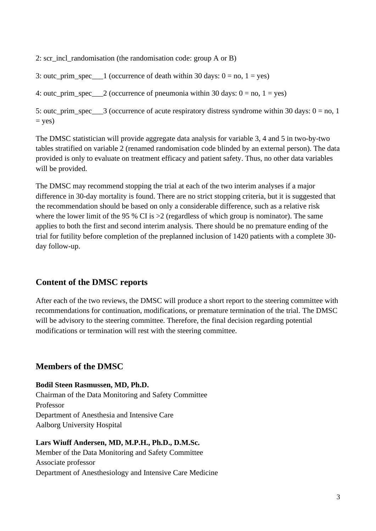2: scr\_incl\_randomisation (the randomisation code: group A or B)

3: outc\_prim\_spec\_\_\_1 (occurrence of death within 30 days:  $0 = no$ ,  $1 = yes$ )

4: outc\_prim\_spec = 2 (occurrence of pneumonia within 30 days:  $0 =$  no,  $1 =$  yes)

5: outc\_prim\_spec\_\_\_3 (occurrence of acute respiratory distress syndrome within 30 days:  $0 =$  no, 1  $=$  yes)

The DMSC statistician will provide aggregate data analysis for variable 3, 4 and 5 in two-by-two tables stratified on variable 2 (renamed randomisation code blinded by an external person). The data provided is only to evaluate on treatment efficacy and patient safety. Thus, no other data variables will be provided.

The DMSC may recommend stopping the trial at each of the two interim analyses if a major difference in 30-day mortality is found. There are no strict stopping criteria, but it is suggested that the recommendation should be based on only a considerable difference, such as a relative risk where the lower limit of the 95 % CI is  $>2$  (regardless of which group is nominator). The same applies to both the first and second interim analysis. There should be no premature ending of the trial for futility before completion of the preplanned inclusion of 1420 patients with a complete 30 day follow-up.

## **Content of the DMSC reports**

After each of the two reviews, the DMSC will produce a short report to the steering committee with recommendations for continuation, modifications, or premature termination of the trial. The DMSC will be advisory to the steering committee. Therefore, the final decision regarding potential modifications or termination will rest with the steering committee.

## **Members of the DMSC**

**Bodil Steen Rasmussen, MD, Ph.D.**

Chairman of the Data Monitoring and Safety Committee Professor Department of Anesthesia and Intensive Care Aalborg University Hospital

# **Lars Wiuff Andersen, MD, M.P.H., Ph.D., D.M.Sc.**

Member of the Data Monitoring and Safety Committee Associate professor Department of Anesthesiology and Intensive Care Medicine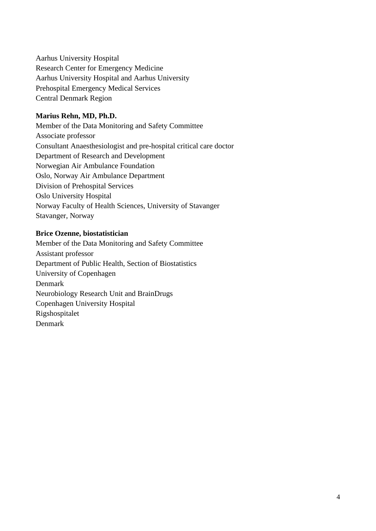Aarhus University Hospital Research Center for Emergency Medicine Aarhus University Hospital and Aarhus University Prehospital Emergency Medical Services Central Denmark Region

#### **Marius Rehn, MD, Ph.D.**

Member of the Data Monitoring and Safety Committee Associate professor Consultant Anaesthesiologist and pre-hospital critical care doctor Department of Research and Development Norwegian Air Ambulance Foundation Oslo, Norway Air Ambulance Department Division of Prehospital Services Oslo University Hospital Norway Faculty of Health Sciences, University of Stavanger Stavanger, Norway

#### **Brice Ozenne, biostatistician**

Member of the Data Monitoring and Safety Committee Assistant professor Department of Public Health, Section of Biostatistics University of Copenhagen Denmark Neurobiology Research Unit and BrainDrugs Copenhagen University Hospital Rigshospitalet Denmark